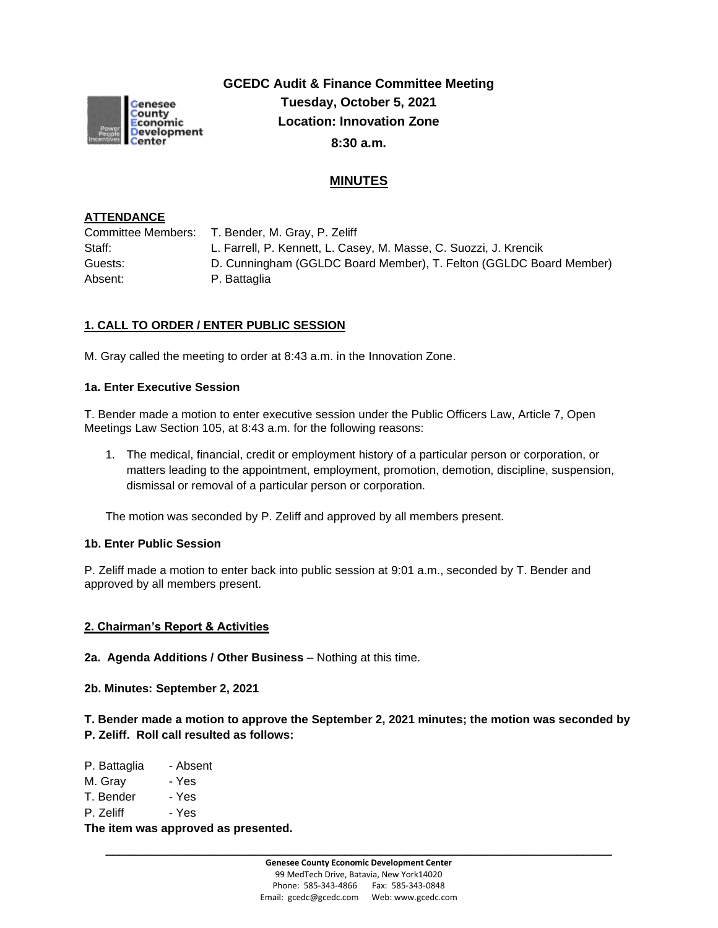

**GCEDC Audit & Finance Committee Meeting Tuesday, October 5, 2021 Location: Innovation Zone 8:30 a.m.**

# **MINUTES**

### **ATTENDANCE**

| Committee Members: T. Bender, M. Gray, P. Zeliff                   |
|--------------------------------------------------------------------|
| L. Farrell, P. Kennett, L. Casey, M. Masse, C. Suozzi, J. Krencik  |
| D. Cunningham (GGLDC Board Member), T. Felton (GGLDC Board Member) |
| P. Battaglia                                                       |
|                                                                    |

# **1. CALL TO ORDER / ENTER PUBLIC SESSION**

M. Gray called the meeting to order at 8:43 a.m. in the Innovation Zone.

### **1a. Enter Executive Session**

T. Bender made a motion to enter executive session under the Public Officers Law, Article 7, Open Meetings Law Section 105, at 8:43 a.m. for the following reasons:

1. The medical, financial, credit or employment history of a particular person or corporation, or matters leading to the appointment, employment, promotion, demotion, discipline, suspension, dismissal or removal of a particular person or corporation.

The motion was seconded by P. Zeliff and approved by all members present.

#### **1b. Enter Public Session**

P. Zeliff made a motion to enter back into public session at 9:01 a.m., seconded by T. Bender and approved by all members present.

### **2. Chairman's Report & Activities**

**2a. Agenda Additions / Other Business** – Nothing at this time.

**2b. Minutes: September 2, 2021** 

**T. Bender made a motion to approve the September 2, 2021 minutes; the motion was seconded by P. Zeliff. Roll call resulted as follows:**

P. Battaglia - Absent M. Gray - Yes T. Bender - Yes P. Zeliff - Yes **The item was approved as presented.**

**\_\_\_\_\_\_\_\_\_\_\_\_\_\_\_\_\_\_\_\_\_\_\_\_\_\_\_\_\_\_\_\_\_\_\_\_\_\_\_\_\_\_\_\_\_\_\_\_\_\_\_\_\_\_\_\_\_\_\_\_\_\_\_\_\_\_\_\_\_\_\_\_**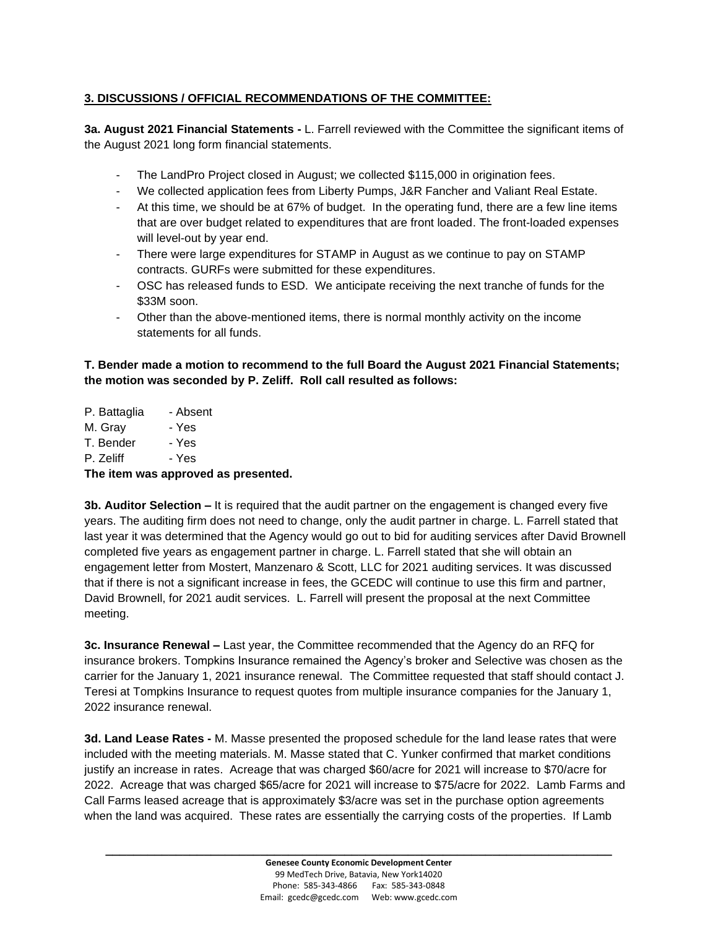## **3. DISCUSSIONS / OFFICIAL RECOMMENDATIONS OF THE COMMITTEE:**

**3a. August 2021 Financial Statements -** L. Farrell reviewed with the Committee the significant items of the August 2021 long form financial statements.

- The LandPro Project closed in August; we collected \$115,000 in origination fees.
- We collected application fees from Liberty Pumps, J&R Fancher and Valiant Real Estate.
- At this time, we should be at 67% of budget. In the operating fund, there are a few line items that are over budget related to expenditures that are front loaded. The front-loaded expenses will level-out by year end.
- There were large expenditures for STAMP in August as we continue to pay on STAMP contracts. GURFs were submitted for these expenditures.
- OSC has released funds to ESD. We anticipate receiving the next tranche of funds for the \$33M soon.
- Other than the above-mentioned items, there is normal monthly activity on the income statements for all funds.

## **T. Bender made a motion to recommend to the full Board the August 2021 Financial Statements; the motion was seconded by P. Zeliff. Roll call resulted as follows:**

P. Battaglia - Absent M. Gray - Yes T. Bender - Yes P. Zeliff - Yes **The item was approved as presented.**

**3b. Auditor Selection –** It is required that the audit partner on the engagement is changed every five years. The auditing firm does not need to change, only the audit partner in charge. L. Farrell stated that last year it was determined that the Agency would go out to bid for auditing services after David Brownell completed five years as engagement partner in charge. L. Farrell stated that she will obtain an engagement letter from Mostert, Manzenaro & Scott, LLC for 2021 auditing services. It was discussed that if there is not a significant increase in fees, the GCEDC will continue to use this firm and partner, David Brownell, for 2021 audit services. L. Farrell will present the proposal at the next Committee meeting.

**3c. Insurance Renewal –** Last year, the Committee recommended that the Agency do an RFQ for insurance brokers. Tompkins Insurance remained the Agency's broker and Selective was chosen as the carrier for the January 1, 2021 insurance renewal. The Committee requested that staff should contact J. Teresi at Tompkins Insurance to request quotes from multiple insurance companies for the January 1, 2022 insurance renewal.

**3d. Land Lease Rates -** M. Masse presented the proposed schedule for the land lease rates that were included with the meeting materials. M. Masse stated that C. Yunker confirmed that market conditions justify an increase in rates. Acreage that was charged \$60/acre for 2021 will increase to \$70/acre for 2022. Acreage that was charged \$65/acre for 2021 will increase to \$75/acre for 2022. Lamb Farms and Call Farms leased acreage that is approximately \$3/acre was set in the purchase option agreements when the land was acquired. These rates are essentially the carrying costs of the properties. If Lamb

**\_\_\_\_\_\_\_\_\_\_\_\_\_\_\_\_\_\_\_\_\_\_\_\_\_\_\_\_\_\_\_\_\_\_\_\_\_\_\_\_\_\_\_\_\_\_\_\_\_\_\_\_\_\_\_\_\_\_\_\_\_\_\_\_\_\_\_\_\_\_\_\_**